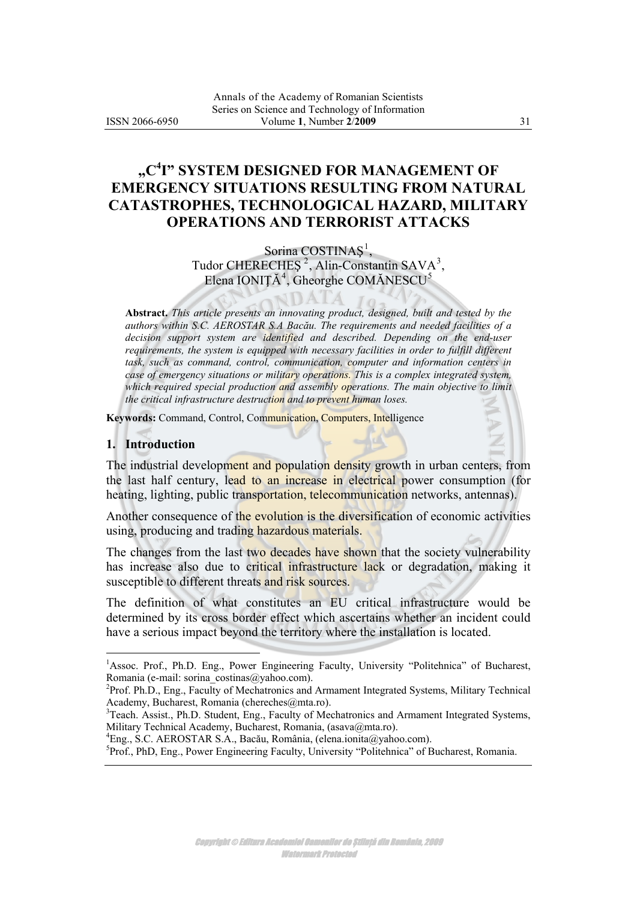# **"C4 I" SYSTEM DESIGNED FOR MANAGEMENT OF EMERGENCY SITUATIONS RESULTING FROM NATURAL CATASTROPHES, TECHNOLOGICAL HAZARD, MILITARY OPERATIONS AND TERRORIST ATTACKS**

### Sorina COSTINAȘ<sup>[1](#page-0-0)</sup>,

Tudor CHERECHEȘ<sup>[2](#page-0-0)</sup>, Alin-Constantin SAVA<sup>[3](#page-0-0)</sup>, Elena IONIȚĂ<sup>[4](#page-0-0)</sup>, Gheorghe COMĂNESCU<sup>[5](#page-0-0)</sup>

JDATA

**Abstract.** *This article presents an innovating product, designed, built and tested by the authors within S.C. AEROSTAR S.A Bacău. The requirements and needed facilities of a*  decision support system are identified and described. Depending on the end-user *requirements, the system is equipped with necessary facilities in order to fulfill different task, such as command, control, communication, computer and information centers in case of emergency situations or military operations. This is a complex integrated system, which required special production and assembly operations. The main objective to limit the critical infrastructure destruction and to prevent human loses.*

**Keywords:** Command, Control, Communication, Computers, Intelligence

#### **1. Introduction**

 $\overline{a}$ 

The industrial development and population density growth in urban centers, from the last half century, lead to an increase in electrical power consumption (for heating, lighting, public transportation, telecommunication networks, antennas).

Another consequence of the evolution is the diversification of economic activities using, producing and trading hazardous materials.

The changes from the last two decades have shown that the society vulnerability has increase also due to critical infrastructure lack or degradation, making it susceptible to different threats and risk sources.

The definition of what constitutes an EU critical infrastructure would be determined by its cross border effect which ascertains whether an incident could have a serious impact beyond the territory where the installation is located.

<sup>4</sup>Eng., S.C. AEROSTAR S.A., Bacău, România, [\(elena.ionita@yahoo.com](mailto:elena.ionita@yahoo.com)).

<span id="page-0-0"></span><sup>&</sup>lt;sup>1</sup>Assoc. Prof., Ph.D. Eng., Power Engineering Faculty, University "Politehnica" of Bucharest, Romania (e-mail: [sorina\\_costinas@yahoo.com\)](mailto:sorina_costinas@yahoo.com).

<sup>&</sup>lt;sup>2</sup>Prof. Ph.D., Eng., Faculty of Mechatronics and Armament Integrated Systems, Military Technical Academy, Bucharest, Romania [\(chereches@mta.ro\)](mailto:chereches@mta.ro).<br><sup>3</sup>Teach. Assist., Ph.D. Student, Eng., Faculty of Mechatronics and Armament Integrated Systems,

Military Technical Academy, Bucharest, Romania, [\(asava@mta.ro](mailto:asava@mta.ro)).

<sup>&</sup>lt;sup>5</sup>Prof., PhD, Eng., Power Engineering Faculty, University "Politehnica" of Bucharest, Romania.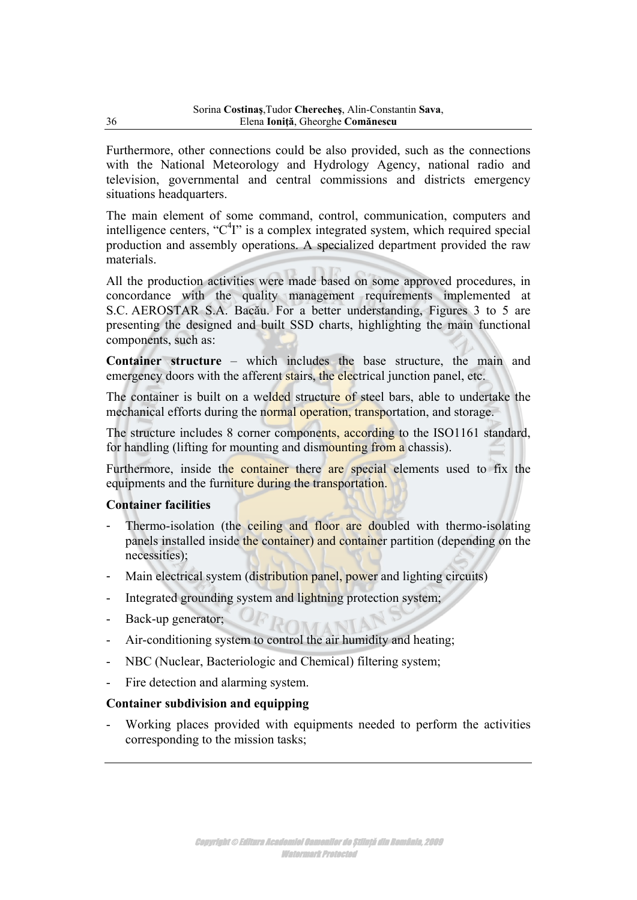**ISSN 2066-**50

# "C<sup>4</sup>I" SYSTEM DESIGNED FOR MANAGEMENT OF **EMERGENCY SITUATIONS RESULTING FROM NATURAL** CATASTROPHES, TECHNOLOGICAL HAZARD, MILITARY **OPERATIONS AND TERRORIST ATTACKS**

Sorina COSTINA  $\mathbf{d}$ , Tudor CHERECHE  $\dot{u}^2$ , Alin-Constantin SAVA<sup>3</sup>, Elena IONI  $4$ , Gheorghe COM NESCU<sup>5</sup>

DATA

Abstract. Heriditetia **Hoffware** deepdd **the dreament of** *<u>abseminingining</u>* et der blekke seben **bielsbieleiteigt im Hilitian** 

ı **⊞ariti**na 日目

obeb

Keywords: Command, Control, Communication, Computers, Intelligence

### 1. Introduction

The industrial development and population density growth in urban centers, from the last half century, lead to an increase in electrical power consumption (for heating, lighting, public transportation, telecommunication networks, antennas).

Another consequence of the evolution is the diversification of economic activities using, producing and trading hazardous materials.

The changes from the last two decades have shown that the society vulnerability has increase also due to critical infrastructure lack or degradation, making it susceptible to different threats and risk sources.

The definition of what constitutes an EU critical infrastructure would be determined by its cross border effect which ascertains whether an incident could have a serious impact beyond the territory where the installation is located.

<sup>4</sup>Eng., S.C. AEROSTAR S.A., Bac u, România, (elena.ionita@yahoo.com).

<sup>&</sup>lt;sup>1</sup>Assoc. Prof., Ph.D. Eng., Power Engineering Faculty, University "Politehnica" of Bucharest. Romania (e-mail: sorina costinas@yahoo.com).

<sup>&</sup>lt;sup>2</sup>Prof. Ph.D., Eng., Faculty of Mechatronics and Armament Integrated Systems, Military Technical Academy, Bucharest, Romania (chereches@mta.ro).<br><sup>3</sup>Teach. Assist., Ph.D. Student, Eng., Faculty of Mechatronics and Armament Integrated Systems,

Military Technical Academy, Bucharest, Romania, (asava@mta.ro).

<sup>&</sup>lt;sup>5</sup>Prof., PhD, Eng., Power Engineering Faculty, University "Politehnica" of Bucharest, Romania.